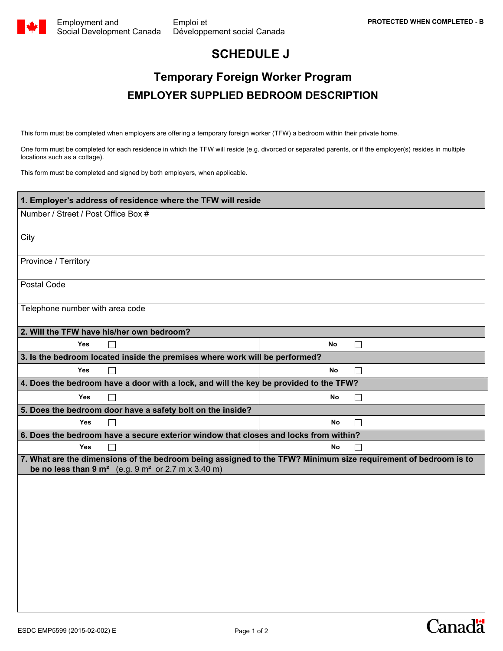**Canada** 

## **SCHEDULE J**

## **Temporary Foreign Worker Program EMPLOYER SUPPLIED BEDROOM DESCRIPTION**

This form must be completed when employers are offering a temporary foreign worker (TFW) a bedroom within their private home.

One form must be completed for each residence in which the TFW will reside (e.g. divorced or separated parents, or if the employer(s) resides in multiple locations such as a cottage).

This form must be completed and signed by both employers, when applicable.

| 1. Employer's address of residence where the TFW will reside                                                                                                                               |  |  |  |  |
|--------------------------------------------------------------------------------------------------------------------------------------------------------------------------------------------|--|--|--|--|
| Number / Street / Post Office Box #                                                                                                                                                        |  |  |  |  |
|                                                                                                                                                                                            |  |  |  |  |
| City                                                                                                                                                                                       |  |  |  |  |
|                                                                                                                                                                                            |  |  |  |  |
| Province / Territory                                                                                                                                                                       |  |  |  |  |
| Postal Code                                                                                                                                                                                |  |  |  |  |
|                                                                                                                                                                                            |  |  |  |  |
| Telephone number with area code                                                                                                                                                            |  |  |  |  |
|                                                                                                                                                                                            |  |  |  |  |
| 2. Will the TFW have his/her own bedroom?                                                                                                                                                  |  |  |  |  |
| <b>Yes</b><br>No<br>П                                                                                                                                                                      |  |  |  |  |
| 3. Is the bedroom located inside the premises where work will be performed?                                                                                                                |  |  |  |  |
| <b>No</b><br><b>Yes</b><br>П<br>П                                                                                                                                                          |  |  |  |  |
| 4. Does the bedroom have a door with a lock, and will the key be provided to the TFW?                                                                                                      |  |  |  |  |
| Yes<br>$\Box$<br>No<br>$\Box$                                                                                                                                                              |  |  |  |  |
| 5. Does the bedroom door have a safety bolt on the inside?                                                                                                                                 |  |  |  |  |
| <b>Yes</b><br><b>No</b><br>$\perp$                                                                                                                                                         |  |  |  |  |
| 6. Does the bedroom have a secure exterior window that closes and locks from within?                                                                                                       |  |  |  |  |
| <b>Yes</b><br><b>No</b><br>П<br>П                                                                                                                                                          |  |  |  |  |
| 7. What are the dimensions of the bedroom being assigned to the TFW? Minimum size requirement of bedroom is to<br>be no less than $9 \text{ m}^2$ (e.g. $9 \text{ m}^2$ or 2.7 m x 3.40 m) |  |  |  |  |
|                                                                                                                                                                                            |  |  |  |  |
|                                                                                                                                                                                            |  |  |  |  |
|                                                                                                                                                                                            |  |  |  |  |
|                                                                                                                                                                                            |  |  |  |  |
|                                                                                                                                                                                            |  |  |  |  |
|                                                                                                                                                                                            |  |  |  |  |
|                                                                                                                                                                                            |  |  |  |  |
|                                                                                                                                                                                            |  |  |  |  |
|                                                                                                                                                                                            |  |  |  |  |
|                                                                                                                                                                                            |  |  |  |  |
|                                                                                                                                                                                            |  |  |  |  |